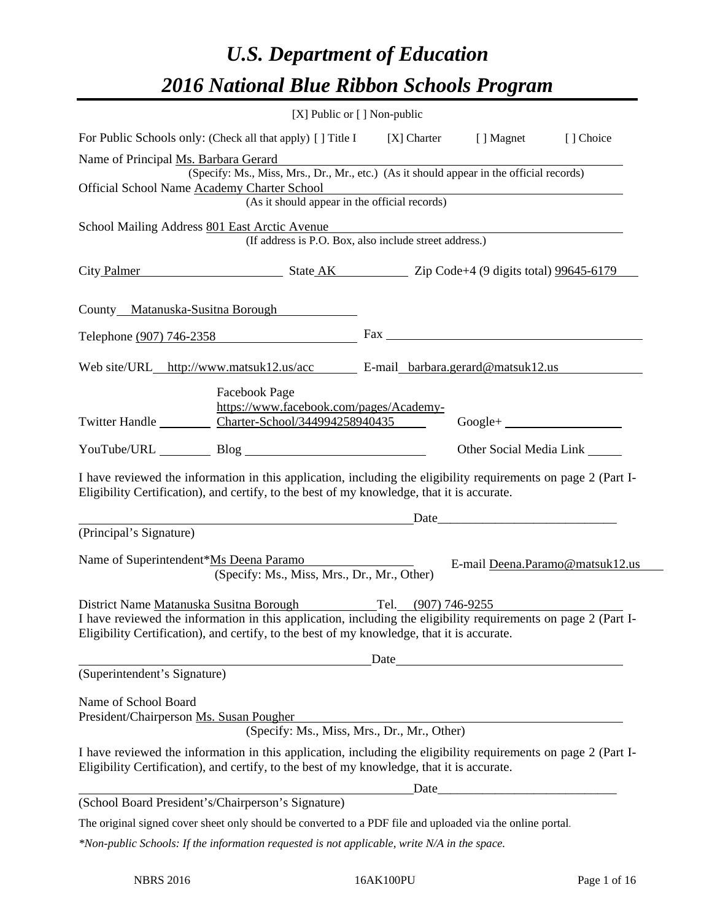# *U.S. Department of Education 2016 National Blue Ribbon Schools Program*

|                                                                                                                                                                                                              | [X] Public or [] Non-public                                                              |                     |                                 |                                 |
|--------------------------------------------------------------------------------------------------------------------------------------------------------------------------------------------------------------|------------------------------------------------------------------------------------------|---------------------|---------------------------------|---------------------------------|
| For Public Schools only: (Check all that apply) [] Title I [X] Charter [] Magnet                                                                                                                             |                                                                                          |                     |                                 | [] Choice                       |
| Name of Principal Ms. Barbara Gerard                                                                                                                                                                         |                                                                                          |                     |                                 |                                 |
|                                                                                                                                                                                                              | (Specify: Ms., Miss, Mrs., Dr., Mr., etc.) (As it should appear in the official records) |                     |                                 |                                 |
| Official School Name Academy Charter School                                                                                                                                                                  | (As it should appear in the official records)                                            |                     |                                 |                                 |
| School Mailing Address 801 East Arctic Avenue                                                                                                                                                                |                                                                                          |                     |                                 |                                 |
|                                                                                                                                                                                                              | (If address is P.O. Box, also include street address.)                                   |                     |                                 |                                 |
| City Palmer State AK Zip Code+4 (9 digits total) 99645-6179                                                                                                                                                  |                                                                                          |                     |                                 |                                 |
| County Matanuska-Susitna Borough                                                                                                                                                                             |                                                                                          |                     |                                 |                                 |
| Telephone (907) 746-2358                                                                                                                                                                                     |                                                                                          |                     |                                 |                                 |
|                                                                                                                                                                                                              |                                                                                          |                     |                                 |                                 |
|                                                                                                                                                                                                              | <b>Facebook Page</b>                                                                     |                     |                                 |                                 |
| Twitter Handle Charter-School/344994258940435                                                                                                                                                                | https://www.facebook.com/pages/Academy-                                                  |                     | $Google + \_$                   |                                 |
|                                                                                                                                                                                                              |                                                                                          |                     |                                 |                                 |
|                                                                                                                                                                                                              |                                                                                          |                     | Other Social Media Link _______ |                                 |
| I have reviewed the information in this application, including the eligibility requirements on page 2 (Part I-<br>Eligibility Certification), and certify, to the best of my knowledge, that it is accurate. |                                                                                          |                     |                                 |                                 |
|                                                                                                                                                                                                              |                                                                                          |                     |                                 |                                 |
| (Principal's Signature)                                                                                                                                                                                      |                                                                                          |                     |                                 |                                 |
| Name of Superintendent*Ms Deena Paramo                                                                                                                                                                       | (Specify: Ms., Miss, Mrs., Dr., Mr., Other)                                              |                     |                                 | E-mail Deena.Paramo@matsuk12.us |
| District Name Matanuska Susitna Borough                                                                                                                                                                      |                                                                                          | Tel. (907) 746-9255 |                                 |                                 |
| I have reviewed the information in this application, including the eligibility requirements on page 2 (Part I-<br>Eligibility Certification), and certify, to the best of my knowledge, that it is accurate. |                                                                                          |                     |                                 |                                 |
|                                                                                                                                                                                                              |                                                                                          | Date                |                                 |                                 |
| (Superintendent's Signature)                                                                                                                                                                                 |                                                                                          |                     |                                 |                                 |
| Name of School Board<br>President/Chairperson Ms. Susan Pougher                                                                                                                                              |                                                                                          |                     |                                 |                                 |
|                                                                                                                                                                                                              | (Specify: Ms., Miss, Mrs., Dr., Mr., Other)                                              |                     |                                 |                                 |
| I have reviewed the information in this application, including the eligibility requirements on page 2 (Part I-<br>Eligibility Certification), and certify, to the best of my knowledge, that it is accurate. |                                                                                          |                     |                                 |                                 |
|                                                                                                                                                                                                              |                                                                                          |                     |                                 |                                 |
| (School Board President's/Chairperson's Signature)                                                                                                                                                           |                                                                                          |                     |                                 |                                 |
| The original signed cover sheet only should be converted to a PDF file and uploaded via the online portal.                                                                                                   |                                                                                          |                     |                                 |                                 |
| *Non-public Schools: If the information requested is not applicable, write N/A in the space.                                                                                                                 |                                                                                          |                     |                                 |                                 |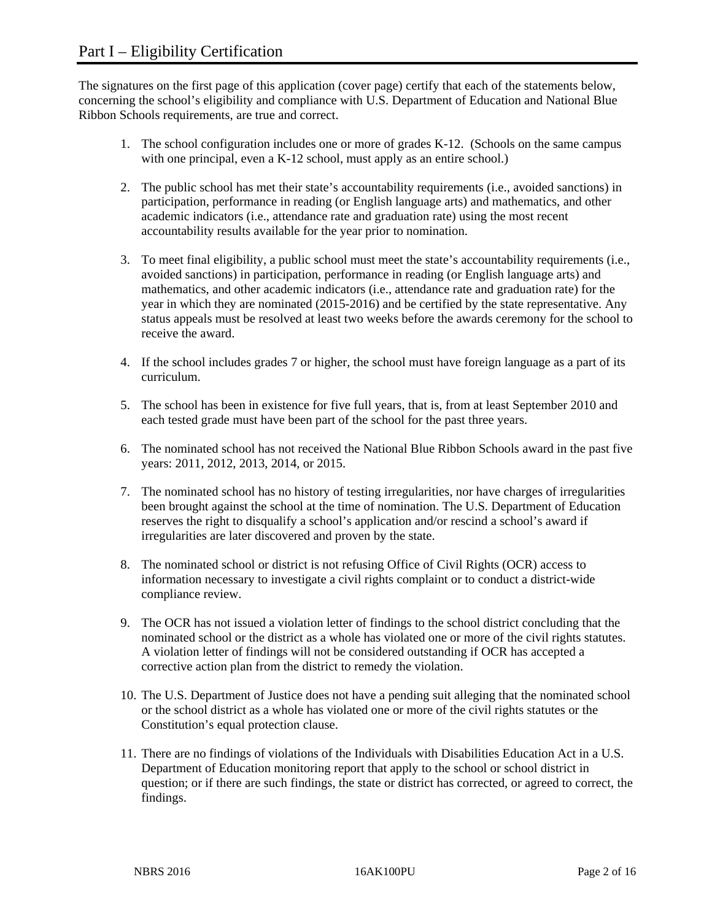The signatures on the first page of this application (cover page) certify that each of the statements below, concerning the school's eligibility and compliance with U.S. Department of Education and National Blue Ribbon Schools requirements, are true and correct.

- 1. The school configuration includes one or more of grades K-12. (Schools on the same campus with one principal, even a K-12 school, must apply as an entire school.)
- 2. The public school has met their state's accountability requirements (i.e., avoided sanctions) in participation, performance in reading (or English language arts) and mathematics, and other academic indicators (i.e., attendance rate and graduation rate) using the most recent accountability results available for the year prior to nomination.
- 3. To meet final eligibility, a public school must meet the state's accountability requirements (i.e., avoided sanctions) in participation, performance in reading (or English language arts) and mathematics, and other academic indicators (i.e., attendance rate and graduation rate) for the year in which they are nominated (2015-2016) and be certified by the state representative. Any status appeals must be resolved at least two weeks before the awards ceremony for the school to receive the award.
- 4. If the school includes grades 7 or higher, the school must have foreign language as a part of its curriculum.
- 5. The school has been in existence for five full years, that is, from at least September 2010 and each tested grade must have been part of the school for the past three years.
- 6. The nominated school has not received the National Blue Ribbon Schools award in the past five years: 2011, 2012, 2013, 2014, or 2015.
- 7. The nominated school has no history of testing irregularities, nor have charges of irregularities been brought against the school at the time of nomination. The U.S. Department of Education reserves the right to disqualify a school's application and/or rescind a school's award if irregularities are later discovered and proven by the state.
- 8. The nominated school or district is not refusing Office of Civil Rights (OCR) access to information necessary to investigate a civil rights complaint or to conduct a district-wide compliance review.
- 9. The OCR has not issued a violation letter of findings to the school district concluding that the nominated school or the district as a whole has violated one or more of the civil rights statutes. A violation letter of findings will not be considered outstanding if OCR has accepted a corrective action plan from the district to remedy the violation.
- 10. The U.S. Department of Justice does not have a pending suit alleging that the nominated school or the school district as a whole has violated one or more of the civil rights statutes or the Constitution's equal protection clause.
- 11. There are no findings of violations of the Individuals with Disabilities Education Act in a U.S. Department of Education monitoring report that apply to the school or school district in question; or if there are such findings, the state or district has corrected, or agreed to correct, the findings.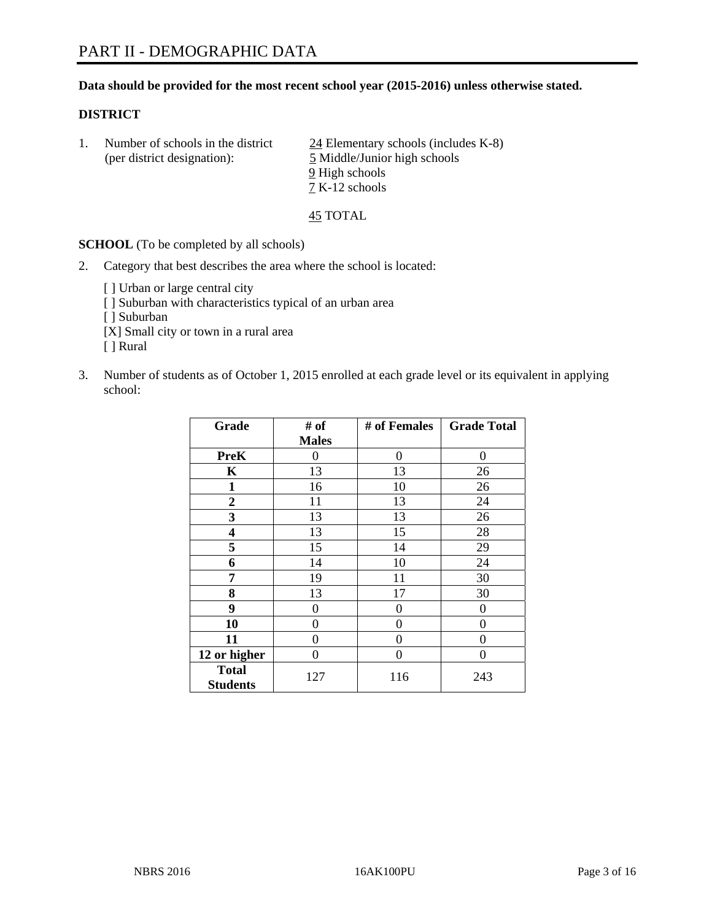#### **Data should be provided for the most recent school year (2015-2016) unless otherwise stated.**

#### **DISTRICT**

1. Number of schools in the district  $\frac{24}{24}$  Elementary schools (includes K-8) (per district designation): 5 Middle/Junior high schools 9 High schools 7 K-12 schools

45 TOTAL

**SCHOOL** (To be completed by all schools)

- 2. Category that best describes the area where the school is located:
	- [] Urban or large central city [ ] Suburban with characteristics typical of an urban area [ ] Suburban [X] Small city or town in a rural area [ ] Rural
- 3. Number of students as of October 1, 2015 enrolled at each grade level or its equivalent in applying school:

| Grade                           | # of         | # of Females | <b>Grade Total</b> |
|---------------------------------|--------------|--------------|--------------------|
|                                 | <b>Males</b> |              |                    |
| <b>PreK</b>                     | 0            | 0            | 0                  |
| $\mathbf K$                     | 13           | 13           | 26                 |
| $\mathbf{1}$                    | 16           | 10           | 26                 |
| $\overline{2}$                  | 11           | 13           | 24                 |
| 3                               | 13           | 13           | 26                 |
| $\overline{\mathbf{4}}$         | 13           | 15           | 28                 |
| 5                               | 15           | 14           | 29                 |
| 6                               | 14           | 10           | 24                 |
| 7                               | 19           | 11           | 30                 |
| 8                               | 13           | 17           | 30                 |
| 9                               | 0            | 0            | 0                  |
| 10                              | 0            | 0            | 0                  |
| 11                              | 0            | 0            | 0                  |
| 12 or higher                    | 0            | 0            | 0                  |
| <b>Total</b><br><b>Students</b> | 127          | 116          | 243                |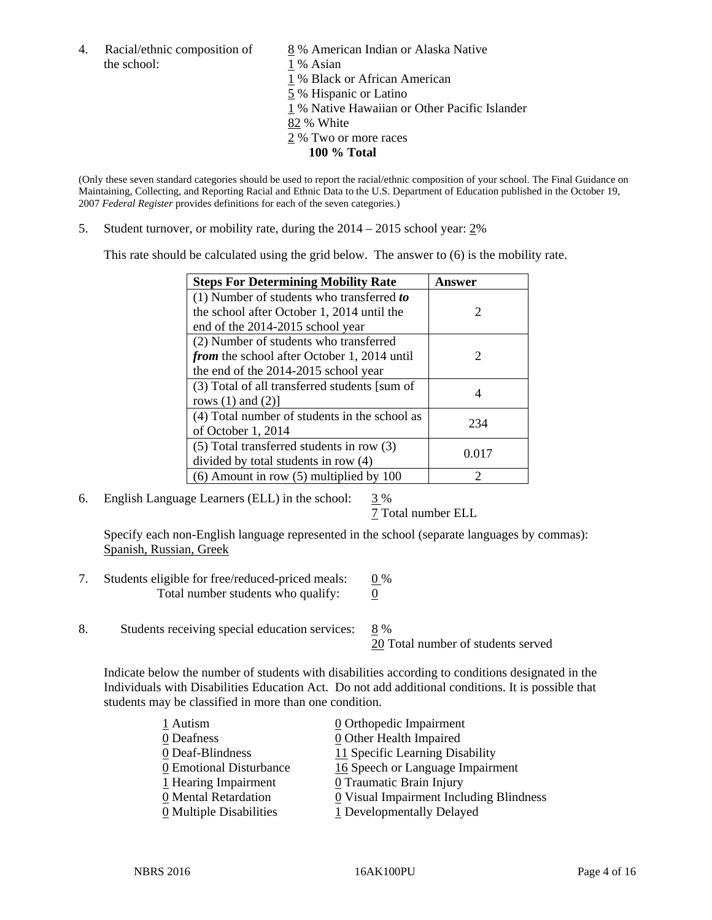- 4. Racial/ethnic composition of  $8\%$  American Indian or Alaska Native the school: 1 % Asian
	-
	-
	- 1 % Black or African American
	- 5 % Hispanic or Latino
	- 1 % Native Hawaiian or Other Pacific Islander
	- 82 % White
	- 2 % Two or more races
		- **100 % Total**

(Only these seven standard categories should be used to report the racial/ethnic composition of your school. The Final Guidance on Maintaining, Collecting, and Reporting Racial and Ethnic Data to the U.S. Department of Education published in the October 19, 2007 *Federal Register* provides definitions for each of the seven categories.)

5. Student turnover, or mobility rate, during the 2014 – 2015 school year: 2%

This rate should be calculated using the grid below. The answer to (6) is the mobility rate.

| <b>Steps For Determining Mobility Rate</b>         | Answer                |  |
|----------------------------------------------------|-----------------------|--|
| $(1)$ Number of students who transferred to        |                       |  |
| the school after October 1, 2014 until the         | $\mathcal{D}_{\cdot}$ |  |
| end of the 2014-2015 school year                   |                       |  |
| (2) Number of students who transferred             |                       |  |
| <i>from</i> the school after October 1, 2014 until | $\mathcal{D}_{\cdot}$ |  |
| the end of the 2014-2015 school year               |                       |  |
| (3) Total of all transferred students [sum of      |                       |  |
| rows $(1)$ and $(2)$ ]                             |                       |  |
| (4) Total number of students in the school as      | 234                   |  |
| of October 1, 2014                                 |                       |  |
| (5) Total transferred students in row (3)          | 0.017                 |  |
| divided by total students in row (4)               |                       |  |
| $(6)$ Amount in row $(5)$ multiplied by 100        | っ                     |  |

6. English Language Learners (ELL) in the school:  $3\%$ 

7 Total number ELL

 Specify each non-English language represented in the school (separate languages by commas): Spanish, Russian, Greek

- 7. Students eligible for free/reduced-priced meals: 0 % Total number students who qualify:  $\qquad 0$
- 8. Students receiving special education services: 8 %

20 Total number of students served

Indicate below the number of students with disabilities according to conditions designated in the Individuals with Disabilities Education Act. Do not add additional conditions. It is possible that students may be classified in more than one condition.

| 1 Autism                              | 0 Orthopedic Impairment                   |
|---------------------------------------|-------------------------------------------|
| 0 Deafness                            | 0 Other Health Impaired                   |
| 0 Deaf-Blindness                      | 11 Specific Learning Disability           |
| 0 Emotional Disturbance               | 16 Speech or Language Impairment          |
| 1 Hearing Impairment                  | 0 Traumatic Brain Injury                  |
| 0 Mental Retardation                  | $Q$ Visual Impairment Including Blindness |
| $\underline{0}$ Multiple Disabilities | 1 Developmentally Delayed                 |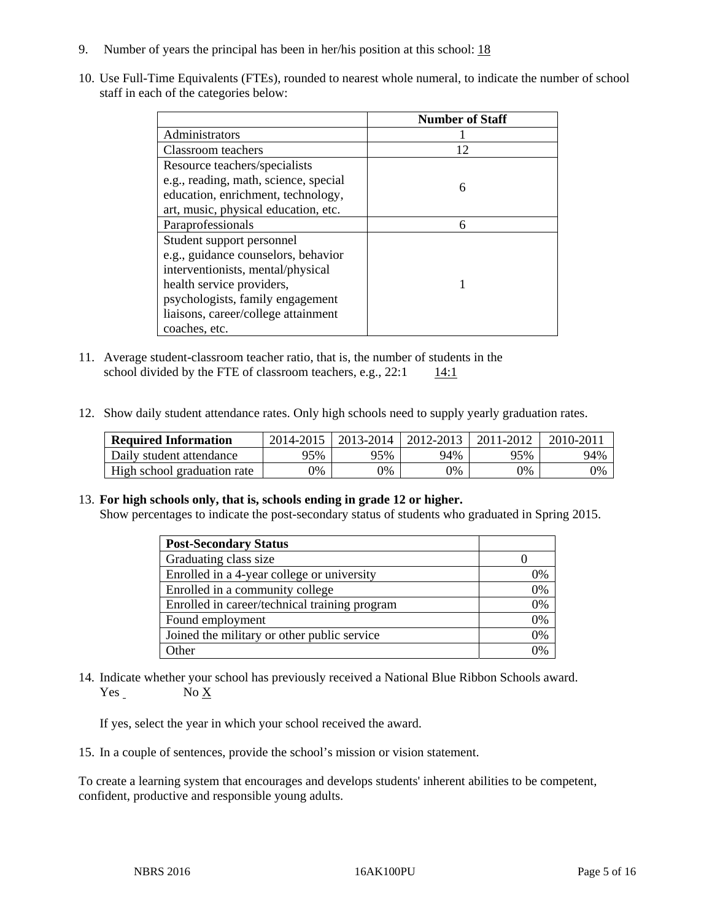- 9. Number of years the principal has been in her/his position at this school: 18
- 10. Use Full-Time Equivalents (FTEs), rounded to nearest whole numeral, to indicate the number of school staff in each of the categories below:

|                                       | <b>Number of Staff</b> |
|---------------------------------------|------------------------|
| Administrators                        |                        |
| Classroom teachers                    | 12                     |
| Resource teachers/specialists         |                        |
| e.g., reading, math, science, special | 6                      |
| education, enrichment, technology,    |                        |
| art, music, physical education, etc.  |                        |
| Paraprofessionals                     | 6                      |
| Student support personnel             |                        |
| e.g., guidance counselors, behavior   |                        |
| interventionists, mental/physical     |                        |
| health service providers,             |                        |
| psychologists, family engagement      |                        |
| liaisons, career/college attainment   |                        |
| coaches, etc.                         |                        |

- 11. Average student-classroom teacher ratio, that is, the number of students in the school divided by the FTE of classroom teachers, e.g.,  $22:1$  14:1
- 12. Show daily student attendance rates. Only high schools need to supply yearly graduation rates.

| <b>Required Information</b> | 2014-2015 | $2013 - 2014$ | 2012-2013 | 2011-2012 | 2010-2011 |
|-----------------------------|-----------|---------------|-----------|-----------|-----------|
| Daily student attendance    | 95%       | 95%           | 94%       | 95%       | 94%       |
| High school graduation rate | 9%        | 0%            | 0%        | 9%        | 0%        |

#### 13. **For high schools only, that is, schools ending in grade 12 or higher.**

Show percentages to indicate the post-secondary status of students who graduated in Spring 2015.

| <b>Post-Secondary Status</b>                  |    |
|-----------------------------------------------|----|
| Graduating class size                         |    |
| Enrolled in a 4-year college or university    | 0% |
| Enrolled in a community college               | 0% |
| Enrolled in career/technical training program | 0% |
| Found employment                              | 0% |
| Joined the military or other public service   | 0% |
| <b>Other</b>                                  |    |

14. Indicate whether your school has previously received a National Blue Ribbon Schools award. Yes No X

If yes, select the year in which your school received the award.

15. In a couple of sentences, provide the school's mission or vision statement.

To create a learning system that encourages and develops students' inherent abilities to be competent, confident, productive and responsible young adults.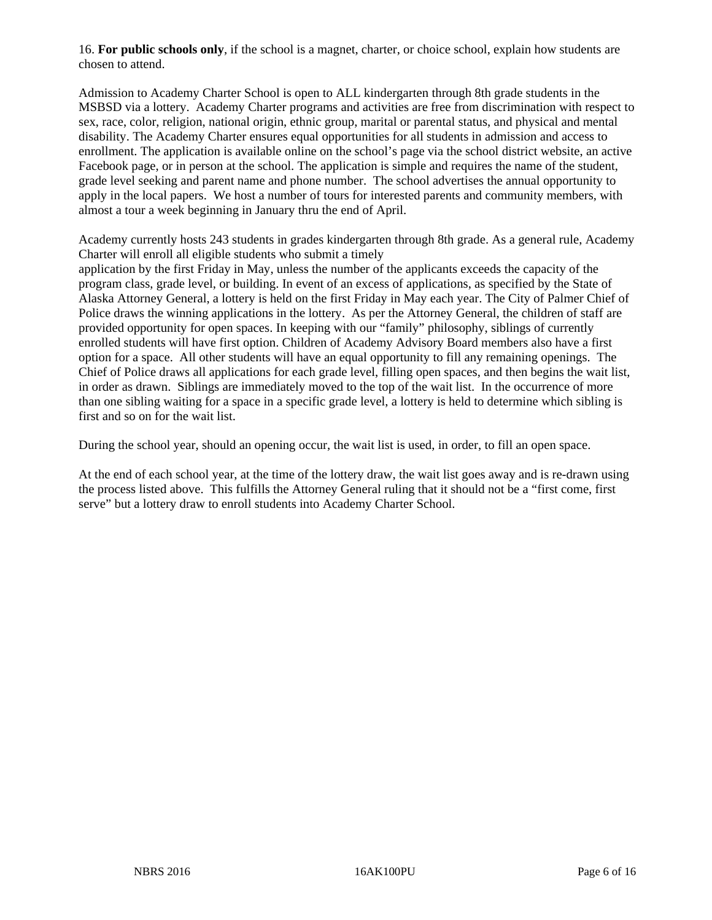16. **For public schools only**, if the school is a magnet, charter, or choice school, explain how students are chosen to attend.

Admission to Academy Charter School is open to ALL kindergarten through 8th grade students in the MSBSD via a lottery. Academy Charter programs and activities are free from discrimination with respect to sex, race, color, religion, national origin, ethnic group, marital or parental status, and physical and mental disability. The Academy Charter ensures equal opportunities for all students in admission and access to enrollment. The application is available online on the school's page via the school district website, an active Facebook page, or in person at the school. The application is simple and requires the name of the student, grade level seeking and parent name and phone number. The school advertises the annual opportunity to apply in the local papers. We host a number of tours for interested parents and community members, with almost a tour a week beginning in January thru the end of April.

Academy currently hosts 243 students in grades kindergarten through 8th grade. As a general rule, Academy Charter will enroll all eligible students who submit a timely

application by the first Friday in May, unless the number of the applicants exceeds the capacity of the program class, grade level, or building. In event of an excess of applications, as specified by the State of Alaska Attorney General, a lottery is held on the first Friday in May each year. The City of Palmer Chief of Police draws the winning applications in the lottery. As per the Attorney General, the children of staff are provided opportunity for open spaces. In keeping with our "family" philosophy, siblings of currently enrolled students will have first option. Children of Academy Advisory Board members also have a first option for a space. All other students will have an equal opportunity to fill any remaining openings. The Chief of Police draws all applications for each grade level, filling open spaces, and then begins the wait list, in order as drawn. Siblings are immediately moved to the top of the wait list. In the occurrence of more than one sibling waiting for a space in a specific grade level, a lottery is held to determine which sibling is first and so on for the wait list.

During the school year, should an opening occur, the wait list is used, in order, to fill an open space.

At the end of each school year, at the time of the lottery draw, the wait list goes away and is re-drawn using the process listed above. This fulfills the Attorney General ruling that it should not be a "first come, first serve" but a lottery draw to enroll students into Academy Charter School.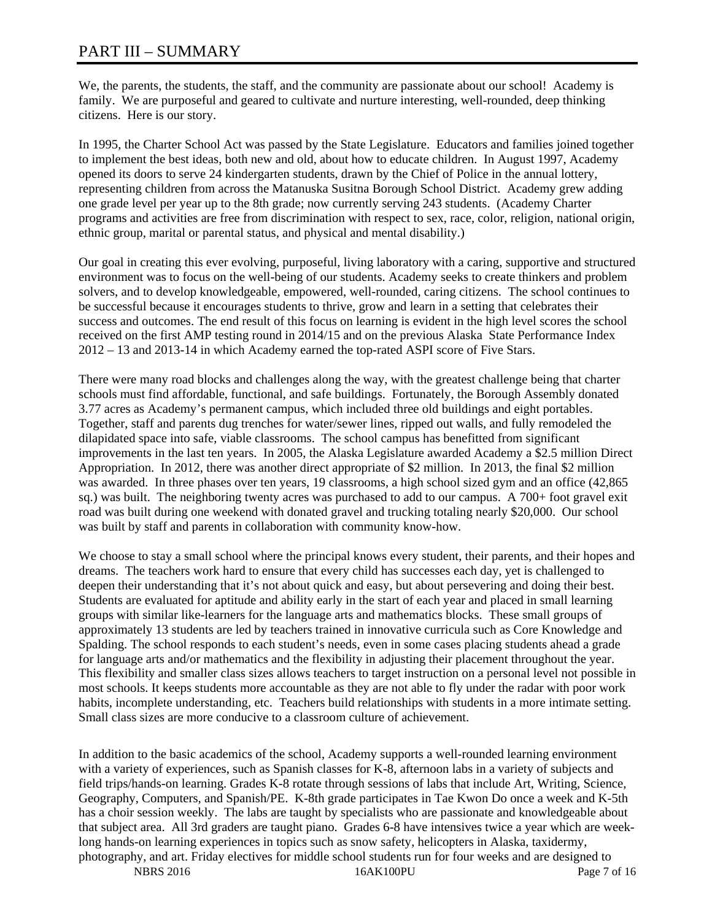## PART III – SUMMARY

We, the parents, the students, the staff, and the community are passionate about our school! Academy is family. We are purposeful and geared to cultivate and nurture interesting, well-rounded, deep thinking citizens. Here is our story.

In 1995, the Charter School Act was passed by the State Legislature. Educators and families joined together to implement the best ideas, both new and old, about how to educate children. In August 1997, Academy opened its doors to serve 24 kindergarten students, drawn by the Chief of Police in the annual lottery, representing children from across the Matanuska Susitna Borough School District. Academy grew adding one grade level per year up to the 8th grade; now currently serving 243 students. (Academy Charter programs and activities are free from discrimination with respect to sex, race, color, religion, national origin, ethnic group, marital or parental status, and physical and mental disability.)

Our goal in creating this ever evolving, purposeful, living laboratory with a caring, supportive and structured environment was to focus on the well-being of our students. Academy seeks to create thinkers and problem solvers, and to develop knowledgeable, empowered, well-rounded, caring citizens. The school continues to be successful because it encourages students to thrive, grow and learn in a setting that celebrates their success and outcomes. The end result of this focus on learning is evident in the high level scores the school received on the first AMP testing round in 2014/15 and on the previous Alaska State Performance Index 2012 – 13 and 2013-14 in which Academy earned the top-rated ASPI score of Five Stars.

There were many road blocks and challenges along the way, with the greatest challenge being that charter schools must find affordable, functional, and safe buildings. Fortunately, the Borough Assembly donated 3.77 acres as Academy's permanent campus, which included three old buildings and eight portables. Together, staff and parents dug trenches for water/sewer lines, ripped out walls, and fully remodeled the dilapidated space into safe, viable classrooms. The school campus has benefitted from significant improvements in the last ten years. In 2005, the Alaska Legislature awarded Academy a \$2.5 million Direct Appropriation. In 2012, there was another direct appropriate of \$2 million. In 2013, the final \$2 million was awarded. In three phases over ten years, 19 classrooms, a high school sized gym and an office (42,865) sq.) was built. The neighboring twenty acres was purchased to add to our campus. A 700+ foot gravel exit road was built during one weekend with donated gravel and trucking totaling nearly \$20,000. Our school was built by staff and parents in collaboration with community know-how.

We choose to stay a small school where the principal knows every student, their parents, and their hopes and dreams. The teachers work hard to ensure that every child has successes each day, yet is challenged to deepen their understanding that it's not about quick and easy, but about persevering and doing their best. Students are evaluated for aptitude and ability early in the start of each year and placed in small learning groups with similar like-learners for the language arts and mathematics blocks. These small groups of approximately 13 students are led by teachers trained in innovative curricula such as Core Knowledge and Spalding. The school responds to each student's needs, even in some cases placing students ahead a grade for language arts and/or mathematics and the flexibility in adjusting their placement throughout the year. This flexibility and smaller class sizes allows teachers to target instruction on a personal level not possible in most schools. It keeps students more accountable as they are not able to fly under the radar with poor work habits, incomplete understanding, etc. Teachers build relationships with students in a more intimate setting. Small class sizes are more conducive to a classroom culture of achievement.

In addition to the basic academics of the school, Academy supports a well-rounded learning environment with a variety of experiences, such as Spanish classes for K-8, afternoon labs in a variety of subjects and field trips/hands-on learning. Grades K-8 rotate through sessions of labs that include Art, Writing, Science, Geography, Computers, and Spanish/PE. K-8th grade participates in Tae Kwon Do once a week and K-5th has a choir session weekly. The labs are taught by specialists who are passionate and knowledgeable about that subject area. All 3rd graders are taught piano. Grades 6-8 have intensives twice a year which are weeklong hands-on learning experiences in topics such as snow safety, helicopters in Alaska, taxidermy, photography, and art. Friday electives for middle school students run for four weeks and are designed to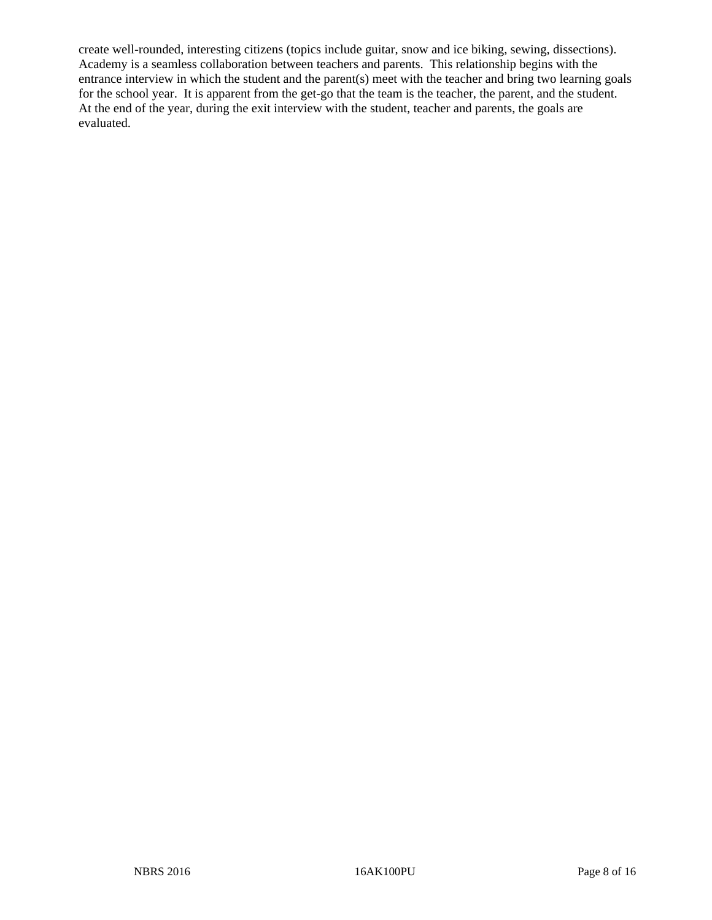create well-rounded, interesting citizens (topics include guitar, snow and ice biking, sewing, dissections). Academy is a seamless collaboration between teachers and parents. This relationship begins with the entrance interview in which the student and the parent(s) meet with the teacher and bring two learning goals for the school year. It is apparent from the get-go that the team is the teacher, the parent, and the student. At the end of the year, during the exit interview with the student, teacher and parents, the goals are evaluated.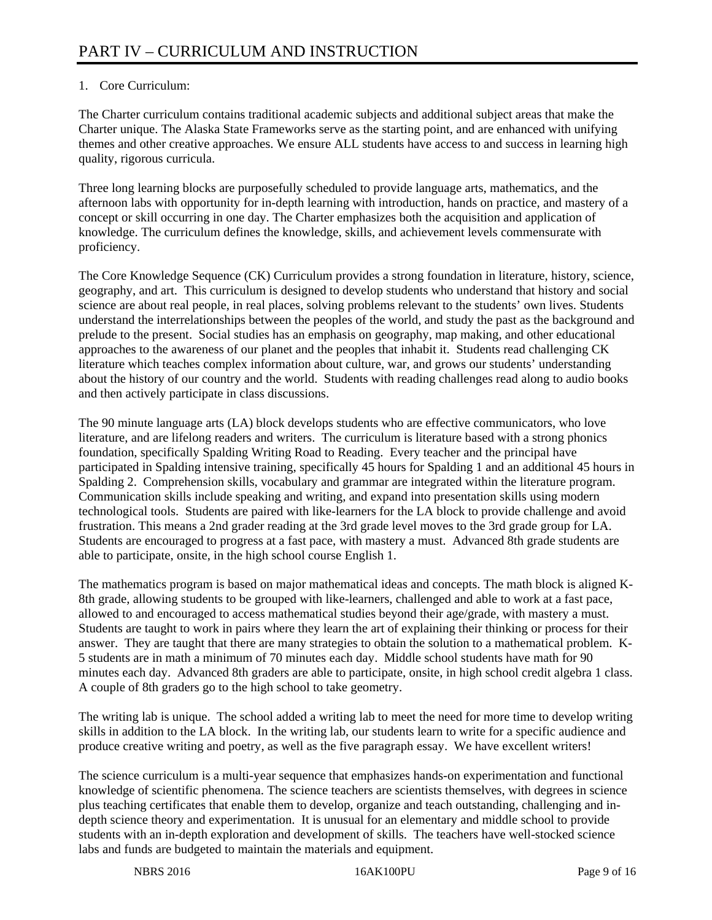### 1. Core Curriculum:

The Charter curriculum contains traditional academic subjects and additional subject areas that make the Charter unique. The Alaska State Frameworks serve as the starting point, and are enhanced with unifying themes and other creative approaches. We ensure ALL students have access to and success in learning high quality, rigorous curricula.

Three long learning blocks are purposefully scheduled to provide language arts, mathematics, and the afternoon labs with opportunity for in-depth learning with introduction, hands on practice, and mastery of a concept or skill occurring in one day. The Charter emphasizes both the acquisition and application of knowledge. The curriculum defines the knowledge, skills, and achievement levels commensurate with proficiency.

The Core Knowledge Sequence (CK) Curriculum provides a strong foundation in literature, history, science, geography, and art. This curriculum is designed to develop students who understand that history and social science are about real people, in real places, solving problems relevant to the students' own lives. Students understand the interrelationships between the peoples of the world, and study the past as the background and prelude to the present. Social studies has an emphasis on geography, map making, and other educational approaches to the awareness of our planet and the peoples that inhabit it. Students read challenging CK literature which teaches complex information about culture, war, and grows our students' understanding about the history of our country and the world. Students with reading challenges read along to audio books and then actively participate in class discussions.

The 90 minute language arts (LA) block develops students who are effective communicators, who love literature, and are lifelong readers and writers. The curriculum is literature based with a strong phonics foundation, specifically Spalding Writing Road to Reading. Every teacher and the principal have participated in Spalding intensive training, specifically 45 hours for Spalding 1 and an additional 45 hours in Spalding 2. Comprehension skills, vocabulary and grammar are integrated within the literature program. Communication skills include speaking and writing, and expand into presentation skills using modern technological tools. Students are paired with like-learners for the LA block to provide challenge and avoid frustration. This means a 2nd grader reading at the 3rd grade level moves to the 3rd grade group for LA. Students are encouraged to progress at a fast pace, with mastery a must. Advanced 8th grade students are able to participate, onsite, in the high school course English 1.

The mathematics program is based on major mathematical ideas and concepts. The math block is aligned K-8th grade, allowing students to be grouped with like-learners, challenged and able to work at a fast pace, allowed to and encouraged to access mathematical studies beyond their age/grade, with mastery a must. Students are taught to work in pairs where they learn the art of explaining their thinking or process for their answer. They are taught that there are many strategies to obtain the solution to a mathematical problem. K-5 students are in math a minimum of 70 minutes each day. Middle school students have math for 90 minutes each day. Advanced 8th graders are able to participate, onsite, in high school credit algebra 1 class. A couple of 8th graders go to the high school to take geometry.

The writing lab is unique. The school added a writing lab to meet the need for more time to develop writing skills in addition to the LA block. In the writing lab, our students learn to write for a specific audience and produce creative writing and poetry, as well as the five paragraph essay. We have excellent writers!

The science curriculum is a multi-year sequence that emphasizes hands-on experimentation and functional knowledge of scientific phenomena. The science teachers are scientists themselves, with degrees in science plus teaching certificates that enable them to develop, organize and teach outstanding, challenging and indepth science theory and experimentation. It is unusual for an elementary and middle school to provide students with an in-depth exploration and development of skills. The teachers have well-stocked science labs and funds are budgeted to maintain the materials and equipment.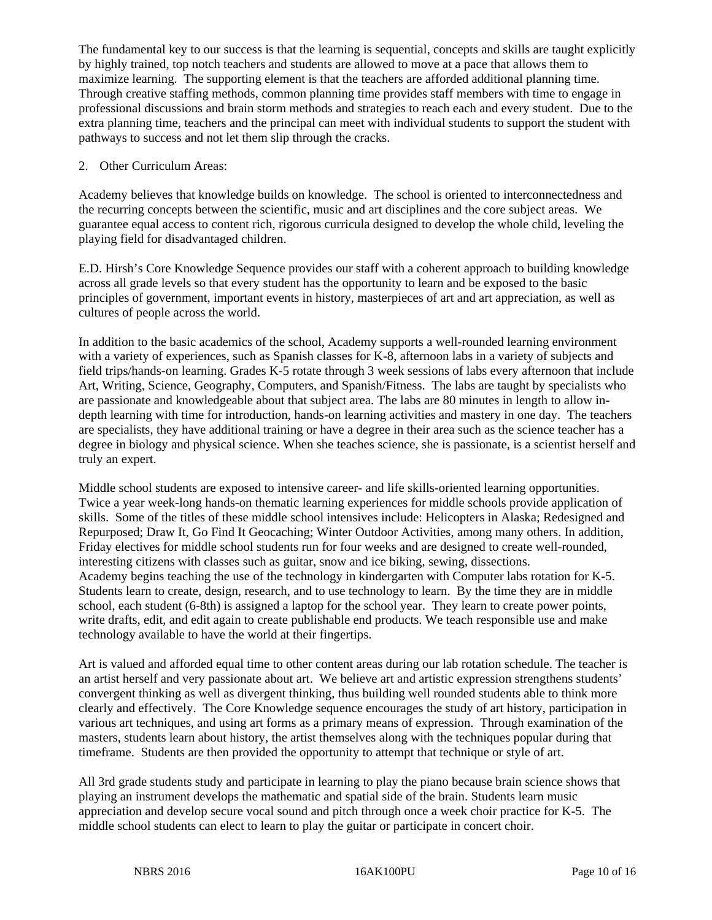The fundamental key to our success is that the learning is sequential, concepts and skills are taught explicitly by highly trained, top notch teachers and students are allowed to move at a pace that allows them to maximize learning. The supporting element is that the teachers are afforded additional planning time. Through creative staffing methods, common planning time provides staff members with time to engage in professional discussions and brain storm methods and strategies to reach each and every student. Due to the extra planning time, teachers and the principal can meet with individual students to support the student with pathways to success and not let them slip through the cracks.

#### 2. Other Curriculum Areas:

Academy believes that knowledge builds on knowledge. The school is oriented to interconnectedness and the recurring concepts between the scientific, music and art disciplines and the core subject areas. We guarantee equal access to content rich, rigorous curricula designed to develop the whole child, leveling the playing field for disadvantaged children.

E.D. Hirsh's Core Knowledge Sequence provides our staff with a coherent approach to building knowledge across all grade levels so that every student has the opportunity to learn and be exposed to the basic principles of government, important events in history, masterpieces of art and art appreciation, as well as cultures of people across the world.

In addition to the basic academics of the school, Academy supports a well-rounded learning environment with a variety of experiences, such as Spanish classes for K-8, afternoon labs in a variety of subjects and field trips/hands-on learning. Grades K-5 rotate through 3 week sessions of labs every afternoon that include Art, Writing, Science, Geography, Computers, and Spanish/Fitness. The labs are taught by specialists who are passionate and knowledgeable about that subject area. The labs are 80 minutes in length to allow indepth learning with time for introduction, hands-on learning activities and mastery in one day. The teachers are specialists, they have additional training or have a degree in their area such as the science teacher has a degree in biology and physical science. When she teaches science, she is passionate, is a scientist herself and truly an expert.

Middle school students are exposed to intensive career- and life skills-oriented learning opportunities. Twice a year week-long hands-on thematic learning experiences for middle schools provide application of skills. Some of the titles of these middle school intensives include: Helicopters in Alaska; Redesigned and Repurposed; Draw It, Go Find It Geocaching; Winter Outdoor Activities, among many others. In addition, Friday electives for middle school students run for four weeks and are designed to create well-rounded, interesting citizens with classes such as guitar, snow and ice biking, sewing, dissections. Academy begins teaching the use of the technology in kindergarten with Computer labs rotation for K-5. Students learn to create, design, research, and to use technology to learn. By the time they are in middle school, each student (6-8th) is assigned a laptop for the school year. They learn to create power points, write drafts, edit, and edit again to create publishable end products. We teach responsible use and make technology available to have the world at their fingertips.

Art is valued and afforded equal time to other content areas during our lab rotation schedule. The teacher is an artist herself and very passionate about art. We believe art and artistic expression strengthens students' convergent thinking as well as divergent thinking, thus building well rounded students able to think more clearly and effectively. The Core Knowledge sequence encourages the study of art history, participation in various art techniques, and using art forms as a primary means of expression. Through examination of the masters, students learn about history, the artist themselves along with the techniques popular during that timeframe. Students are then provided the opportunity to attempt that technique or style of art.

All 3rd grade students study and participate in learning to play the piano because brain science shows that playing an instrument develops the mathematic and spatial side of the brain. Students learn music appreciation and develop secure vocal sound and pitch through once a week choir practice for K-5. The middle school students can elect to learn to play the guitar or participate in concert choir.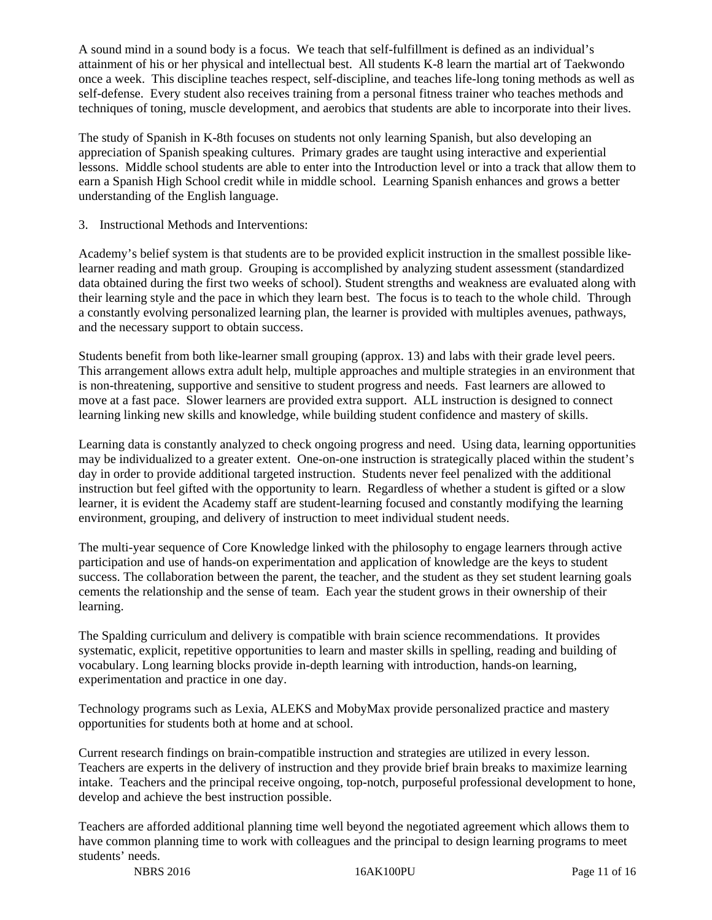A sound mind in a sound body is a focus. We teach that self-fulfillment is defined as an individual's attainment of his or her physical and intellectual best. All students K-8 learn the martial art of Taekwondo once a week. This discipline teaches respect, self-discipline, and teaches life-long toning methods as well as self-defense. Every student also receives training from a personal fitness trainer who teaches methods and techniques of toning, muscle development, and aerobics that students are able to incorporate into their lives.

The study of Spanish in K-8th focuses on students not only learning Spanish, but also developing an appreciation of Spanish speaking cultures. Primary grades are taught using interactive and experiential lessons. Middle school students are able to enter into the Introduction level or into a track that allow them to earn a Spanish High School credit while in middle school. Learning Spanish enhances and grows a better understanding of the English language.

3. Instructional Methods and Interventions:

Academy's belief system is that students are to be provided explicit instruction in the smallest possible likelearner reading and math group. Grouping is accomplished by analyzing student assessment (standardized data obtained during the first two weeks of school). Student strengths and weakness are evaluated along with their learning style and the pace in which they learn best. The focus is to teach to the whole child. Through a constantly evolving personalized learning plan, the learner is provided with multiples avenues, pathways, and the necessary support to obtain success.

Students benefit from both like-learner small grouping (approx. 13) and labs with their grade level peers. This arrangement allows extra adult help, multiple approaches and multiple strategies in an environment that is non-threatening, supportive and sensitive to student progress and needs. Fast learners are allowed to move at a fast pace. Slower learners are provided extra support. ALL instruction is designed to connect learning linking new skills and knowledge, while building student confidence and mastery of skills.

Learning data is constantly analyzed to check ongoing progress and need. Using data, learning opportunities may be individualized to a greater extent. One-on-one instruction is strategically placed within the student's day in order to provide additional targeted instruction. Students never feel penalized with the additional instruction but feel gifted with the opportunity to learn. Regardless of whether a student is gifted or a slow learner, it is evident the Academy staff are student-learning focused and constantly modifying the learning environment, grouping, and delivery of instruction to meet individual student needs.

The multi-year sequence of Core Knowledge linked with the philosophy to engage learners through active participation and use of hands-on experimentation and application of knowledge are the keys to student success. The collaboration between the parent, the teacher, and the student as they set student learning goals cements the relationship and the sense of team. Each year the student grows in their ownership of their learning.

The Spalding curriculum and delivery is compatible with brain science recommendations. It provides systematic, explicit, repetitive opportunities to learn and master skills in spelling, reading and building of vocabulary. Long learning blocks provide in-depth learning with introduction, hands-on learning, experimentation and practice in one day.

Technology programs such as Lexia, ALEKS and MobyMax provide personalized practice and mastery opportunities for students both at home and at school.

Current research findings on brain-compatible instruction and strategies are utilized in every lesson. Teachers are experts in the delivery of instruction and they provide brief brain breaks to maximize learning intake. Teachers and the principal receive ongoing, top-notch, purposeful professional development to hone, develop and achieve the best instruction possible.

Teachers are afforded additional planning time well beyond the negotiated agreement which allows them to have common planning time to work with colleagues and the principal to design learning programs to meet students' needs.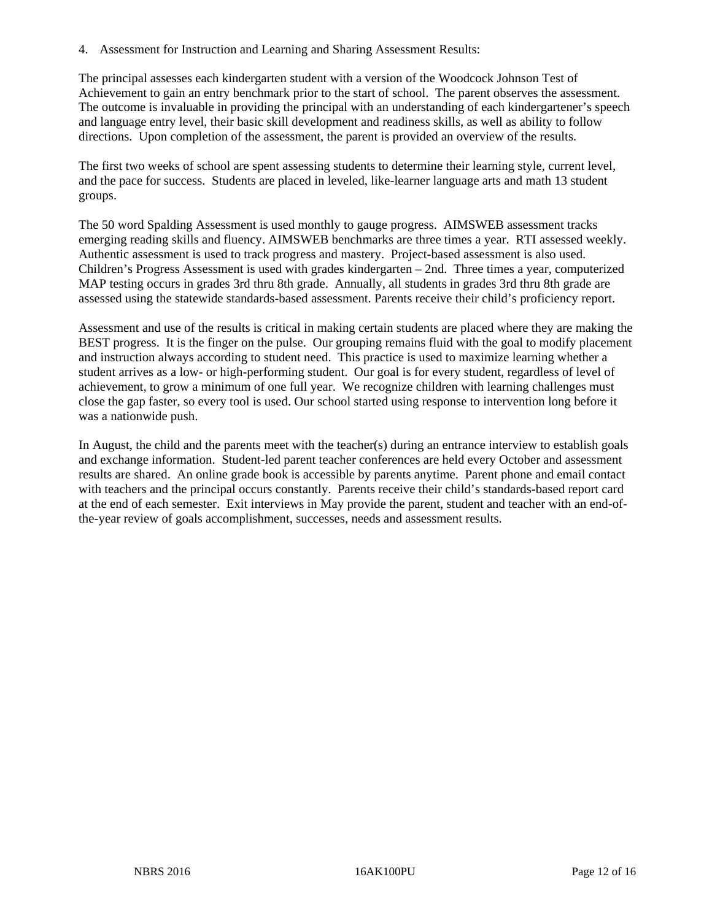4. Assessment for Instruction and Learning and Sharing Assessment Results:

The principal assesses each kindergarten student with a version of the Woodcock Johnson Test of Achievement to gain an entry benchmark prior to the start of school. The parent observes the assessment. The outcome is invaluable in providing the principal with an understanding of each kindergartener's speech and language entry level, their basic skill development and readiness skills, as well as ability to follow directions. Upon completion of the assessment, the parent is provided an overview of the results.

The first two weeks of school are spent assessing students to determine their learning style, current level, and the pace for success. Students are placed in leveled, like-learner language arts and math 13 student groups.

The 50 word Spalding Assessment is used monthly to gauge progress. AIMSWEB assessment tracks emerging reading skills and fluency. AIMSWEB benchmarks are three times a year. RTI assessed weekly. Authentic assessment is used to track progress and mastery. Project-based assessment is also used. Children's Progress Assessment is used with grades kindergarten – 2nd. Three times a year, computerized MAP testing occurs in grades 3rd thru 8th grade. Annually, all students in grades 3rd thru 8th grade are assessed using the statewide standards-based assessment. Parents receive their child's proficiency report.

Assessment and use of the results is critical in making certain students are placed where they are making the BEST progress. It is the finger on the pulse. Our grouping remains fluid with the goal to modify placement and instruction always according to student need. This practice is used to maximize learning whether a student arrives as a low- or high-performing student. Our goal is for every student, regardless of level of achievement, to grow a minimum of one full year. We recognize children with learning challenges must close the gap faster, so every tool is used. Our school started using response to intervention long before it was a nationwide push.

In August, the child and the parents meet with the teacher(s) during an entrance interview to establish goals and exchange information. Student-led parent teacher conferences are held every October and assessment results are shared. An online grade book is accessible by parents anytime. Parent phone and email contact with teachers and the principal occurs constantly. Parents receive their child's standards-based report card at the end of each semester. Exit interviews in May provide the parent, student and teacher with an end-ofthe-year review of goals accomplishment, successes, needs and assessment results.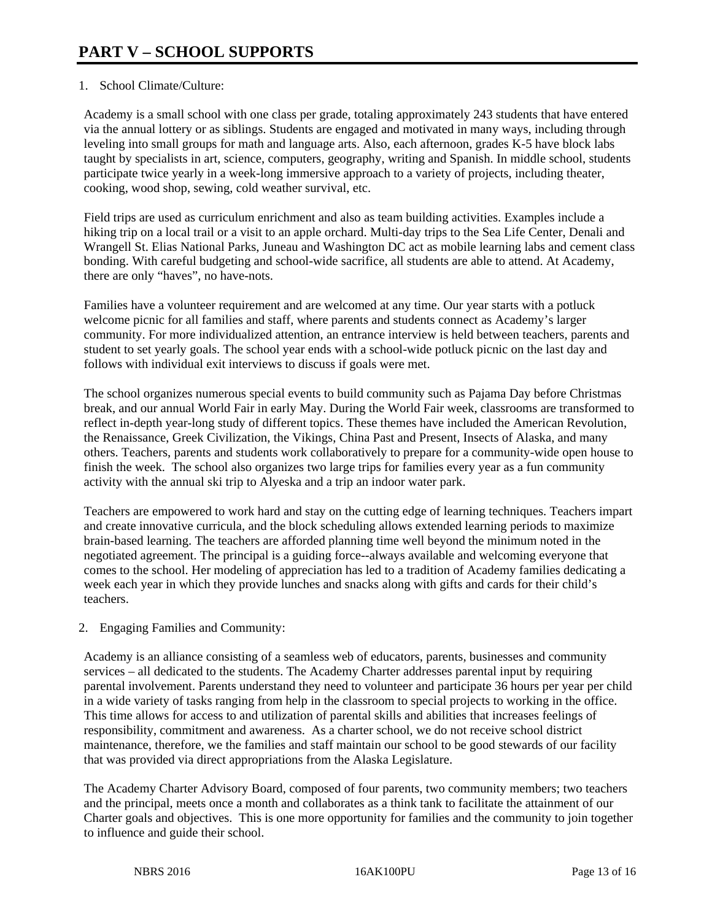#### 1. School Climate/Culture:

Academy is a small school with one class per grade, totaling approximately 243 students that have entered via the annual lottery or as siblings. Students are engaged and motivated in many ways, including through leveling into small groups for math and language arts. Also, each afternoon, grades K-5 have block labs taught by specialists in art, science, computers, geography, writing and Spanish. In middle school, students participate twice yearly in a week-long immersive approach to a variety of projects, including theater, cooking, wood shop, sewing, cold weather survival, etc.

Field trips are used as curriculum enrichment and also as team building activities. Examples include a hiking trip on a local trail or a visit to an apple orchard. Multi-day trips to the Sea Life Center, Denali and Wrangell St. Elias National Parks, Juneau and Washington DC act as mobile learning labs and cement class bonding. With careful budgeting and school-wide sacrifice, all students are able to attend. At Academy, there are only "haves", no have-nots.

Families have a volunteer requirement and are welcomed at any time. Our year starts with a potluck welcome picnic for all families and staff, where parents and students connect as Academy's larger community. For more individualized attention, an entrance interview is held between teachers, parents and student to set yearly goals. The school year ends with a school-wide potluck picnic on the last day and follows with individual exit interviews to discuss if goals were met.

The school organizes numerous special events to build community such as Pajama Day before Christmas break, and our annual World Fair in early May. During the World Fair week, classrooms are transformed to reflect in-depth year-long study of different topics. These themes have included the American Revolution, the Renaissance, Greek Civilization, the Vikings, China Past and Present, Insects of Alaska, and many others. Teachers, parents and students work collaboratively to prepare for a community-wide open house to finish the week. The school also organizes two large trips for families every year as a fun community activity with the annual ski trip to Alyeska and a trip an indoor water park.

Teachers are empowered to work hard and stay on the cutting edge of learning techniques. Teachers impart and create innovative curricula, and the block scheduling allows extended learning periods to maximize brain-based learning. The teachers are afforded planning time well beyond the minimum noted in the negotiated agreement. The principal is a guiding force--always available and welcoming everyone that comes to the school. Her modeling of appreciation has led to a tradition of Academy families dedicating a week each year in which they provide lunches and snacks along with gifts and cards for their child's teachers.

#### 2. Engaging Families and Community:

Academy is an alliance consisting of a seamless web of educators, parents, businesses and community services – all dedicated to the students. The Academy Charter addresses parental input by requiring parental involvement. Parents understand they need to volunteer and participate 36 hours per year per child in a wide variety of tasks ranging from help in the classroom to special projects to working in the office. This time allows for access to and utilization of parental skills and abilities that increases feelings of responsibility, commitment and awareness. As a charter school, we do not receive school district maintenance, therefore, we the families and staff maintain our school to be good stewards of our facility that was provided via direct appropriations from the Alaska Legislature.

The Academy Charter Advisory Board, composed of four parents, two community members; two teachers and the principal, meets once a month and collaborates as a think tank to facilitate the attainment of our Charter goals and objectives. This is one more opportunity for families and the community to join together to influence and guide their school.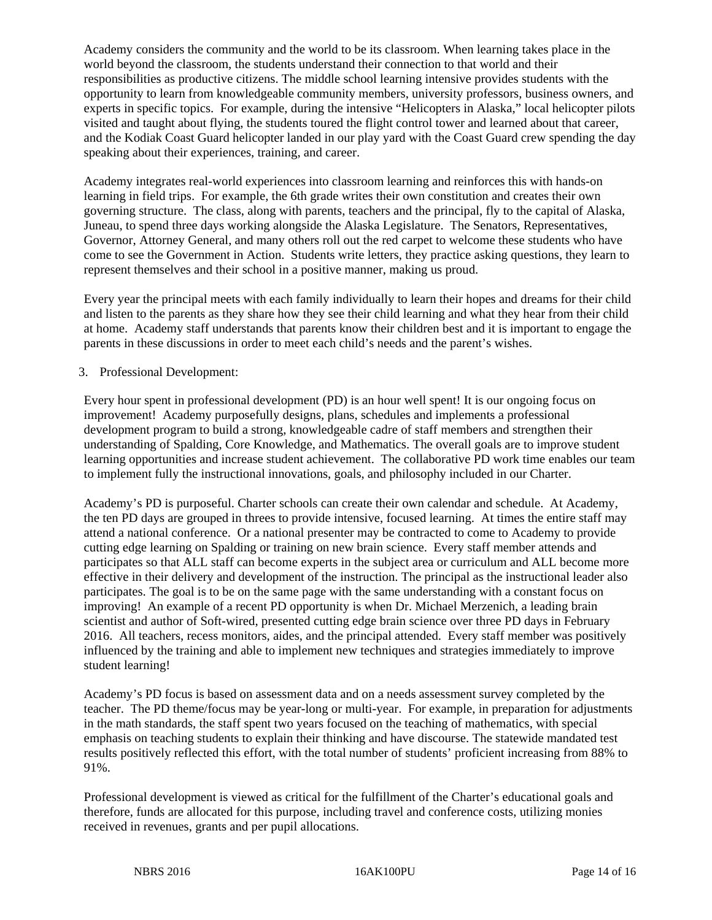Academy considers the community and the world to be its classroom. When learning takes place in the world beyond the classroom, the students understand their connection to that world and their responsibilities as productive citizens. The middle school learning intensive provides students with the opportunity to learn from knowledgeable community members, university professors, business owners, and experts in specific topics. For example, during the intensive "Helicopters in Alaska," local helicopter pilots visited and taught about flying, the students toured the flight control tower and learned about that career, and the Kodiak Coast Guard helicopter landed in our play yard with the Coast Guard crew spending the day speaking about their experiences, training, and career.

Academy integrates real-world experiences into classroom learning and reinforces this with hands-on learning in field trips. For example, the 6th grade writes their own constitution and creates their own governing structure. The class, along with parents, teachers and the principal, fly to the capital of Alaska, Juneau, to spend three days working alongside the Alaska Legislature. The Senators, Representatives, Governor, Attorney General, and many others roll out the red carpet to welcome these students who have come to see the Government in Action. Students write letters, they practice asking questions, they learn to represent themselves and their school in a positive manner, making us proud.

Every year the principal meets with each family individually to learn their hopes and dreams for their child and listen to the parents as they share how they see their child learning and what they hear from their child at home. Academy staff understands that parents know their children best and it is important to engage the parents in these discussions in order to meet each child's needs and the parent's wishes.

#### 3. Professional Development:

Every hour spent in professional development (PD) is an hour well spent! It is our ongoing focus on improvement! Academy purposefully designs, plans, schedules and implements a professional development program to build a strong, knowledgeable cadre of staff members and strengthen their understanding of Spalding, Core Knowledge, and Mathematics. The overall goals are to improve student learning opportunities and increase student achievement. The collaborative PD work time enables our team to implement fully the instructional innovations, goals, and philosophy included in our Charter.

Academy's PD is purposeful. Charter schools can create their own calendar and schedule. At Academy, the ten PD days are grouped in threes to provide intensive, focused learning. At times the entire staff may attend a national conference. Or a national presenter may be contracted to come to Academy to provide cutting edge learning on Spalding or training on new brain science. Every staff member attends and participates so that ALL staff can become experts in the subject area or curriculum and ALL become more effective in their delivery and development of the instruction. The principal as the instructional leader also participates. The goal is to be on the same page with the same understanding with a constant focus on improving! An example of a recent PD opportunity is when Dr. Michael Merzenich, a leading brain scientist and author of Soft-wired, presented cutting edge brain science over three PD days in February 2016. All teachers, recess monitors, aides, and the principal attended. Every staff member was positively influenced by the training and able to implement new techniques and strategies immediately to improve student learning!

Academy's PD focus is based on assessment data and on a needs assessment survey completed by the teacher. The PD theme/focus may be year-long or multi-year. For example, in preparation for adjustments in the math standards, the staff spent two years focused on the teaching of mathematics, with special emphasis on teaching students to explain their thinking and have discourse. The statewide mandated test results positively reflected this effort, with the total number of students' proficient increasing from 88% to 91%.

Professional development is viewed as critical for the fulfillment of the Charter's educational goals and therefore, funds are allocated for this purpose, including travel and conference costs, utilizing monies received in revenues, grants and per pupil allocations.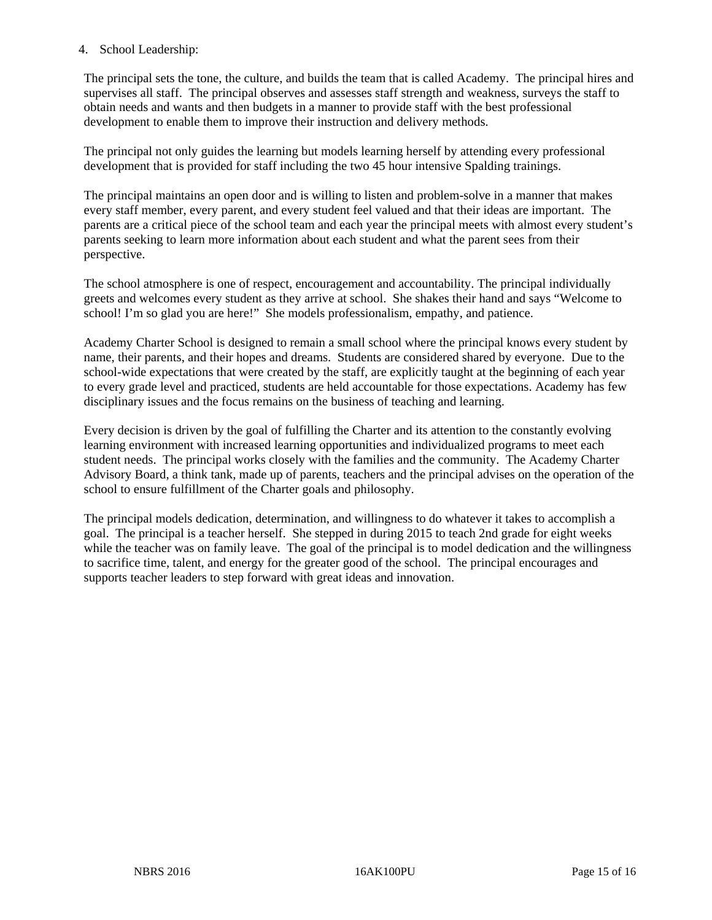#### 4. School Leadership:

The principal sets the tone, the culture, and builds the team that is called Academy. The principal hires and supervises all staff. The principal observes and assesses staff strength and weakness, surveys the staff to obtain needs and wants and then budgets in a manner to provide staff with the best professional development to enable them to improve their instruction and delivery methods.

The principal not only guides the learning but models learning herself by attending every professional development that is provided for staff including the two 45 hour intensive Spalding trainings.

The principal maintains an open door and is willing to listen and problem-solve in a manner that makes every staff member, every parent, and every student feel valued and that their ideas are important. The parents are a critical piece of the school team and each year the principal meets with almost every student's parents seeking to learn more information about each student and what the parent sees from their perspective.

The school atmosphere is one of respect, encouragement and accountability. The principal individually greets and welcomes every student as they arrive at school. She shakes their hand and says "Welcome to school! I'm so glad you are here!" She models professionalism, empathy, and patience.

Academy Charter School is designed to remain a small school where the principal knows every student by name, their parents, and their hopes and dreams. Students are considered shared by everyone. Due to the school-wide expectations that were created by the staff, are explicitly taught at the beginning of each year to every grade level and practiced, students are held accountable for those expectations. Academy has few disciplinary issues and the focus remains on the business of teaching and learning.

Every decision is driven by the goal of fulfilling the Charter and its attention to the constantly evolving learning environment with increased learning opportunities and individualized programs to meet each student needs. The principal works closely with the families and the community. The Academy Charter Advisory Board, a think tank, made up of parents, teachers and the principal advises on the operation of the school to ensure fulfillment of the Charter goals and philosophy.

The principal models dedication, determination, and willingness to do whatever it takes to accomplish a goal. The principal is a teacher herself. She stepped in during 2015 to teach 2nd grade for eight weeks while the teacher was on family leave. The goal of the principal is to model dedication and the willingness to sacrifice time, talent, and energy for the greater good of the school. The principal encourages and supports teacher leaders to step forward with great ideas and innovation.